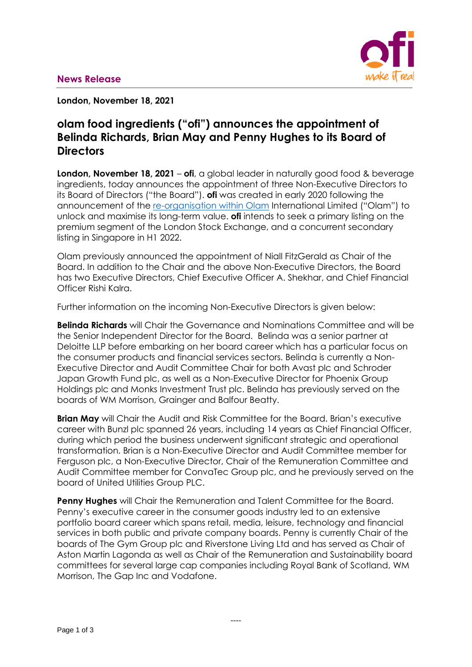

**London, November 18, 2021**

# **olam food ingredients ("ofi") announces the appointment of Belinda Richards, Brian May and Penny Hughes to its Board of Directors**

**London, November 18, 2021** – **ofi**, a global leader in naturally good food & beverage ingredients, today announces the appointment of three Non-Executive Directors to its Board of Directors ("the Board"). **ofi** was created in early 2020 following the announcement of the [re-organisation within](https://www.olamgroup.com/content/dam/olamgroup/investor-relations/ir-library/sgx-filings/sgx-filings-pdfs/26Feb2021-Reorganisation-Update.pdf) Olam International Limited ("Olam") to unlock and maximise its long-term value. **ofi** intends to seek a primary listing on the premium segment of the London Stock Exchange, and a concurrent secondary listing in Singapore in H1 2022.

Olam previously announced the appointment of Niall FitzGerald as Chair of the Board. In addition to the Chair and the above Non-Executive Directors, the Board has two Executive Directors, Chief Executive Officer A. Shekhar, and Chief Financial Officer Rishi Kalra.

Further information on the incoming Non-Executive Directors is given below:

**Belinda Richards** will Chair the Governance and Nominations Committee and will be the Senior Independent Director for the Board. Belinda was a senior partner at Deloitte LLP before embarking on her board career which has a particular focus on the consumer products and financial services sectors. Belinda is currently a Non-Executive Director and Audit Committee Chair for both Avast plc and Schroder Japan Growth Fund plc, as well as a Non-Executive Director for Phoenix Group Holdings plc and Monks Investment Trust plc. Belinda has previously served on the boards of WM Morrison, Grainger and Balfour Beatty.

**Brian May** will Chair the Audit and Risk Committee for the Board. Brian's executive career with Bunzl plc spanned 26 years, including 14 years as Chief Financial Officer, during which period the business underwent significant strategic and operational transformation. Brian is a Non-Executive Director and Audit Committee member for Ferguson plc, a Non-Executive Director, Chair of the Remuneration Committee and Audit Committee member for ConvaTec Group plc, and he previously served on the board of United Utilities Group PLC.

**Penny Hughes** will Chair the Remuneration and Talent Committee for the Board. Penny's executive career in the consumer goods industry led to an extensive portfolio board career which spans retail, media, leisure, technology and financial services in both public and private company boards. Penny is currently Chair of the boards of The Gym Group plc and Riverstone Living Ltd and has served as Chair of Aston Martin Lagonda as well as Chair of the Remuneration and Sustainability board committees for several large cap companies including Royal Bank of Scotland, WM Morrison, The Gap Inc and Vodafone.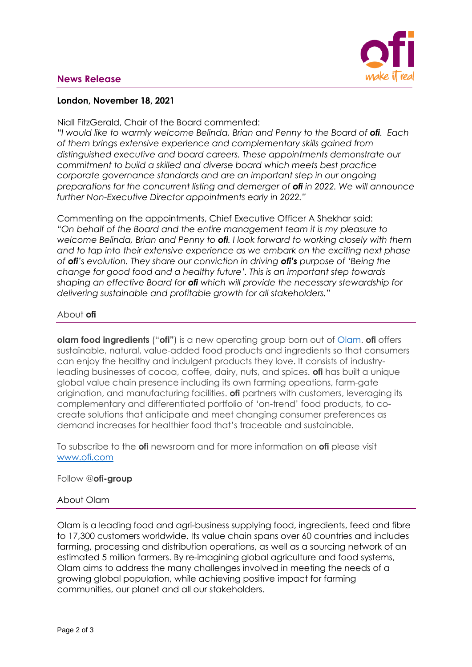## **News Release**



### **London, November 18, 2021**

Niall FitzGerald, Chair of the Board commented:

*"I would like to warmly welcome Belinda, Brian and Penny to the Board of ofi. Each of them brings extensive experience and complementary skills gained from distinguished executive and board careers. These appointments demonstrate our commitment to build a skilled and diverse board which meets best practice corporate governance standards and are an important step in our ongoing preparations for the concurrent listing and demerger of ofi in 2022. We will announce further Non-Executive Director appointments early in 2022."* 

Commenting on the appointments, Chief Executive Officer A Shekhar said: *"On behalf of the Board and the entire management team it is my pleasure to welcome Belinda, Brian and Penny to ofi. I look forward to working closely with them and to tap into their extensive experience as we embark on the exciting next phase of ofi's evolution. They share our conviction in driving ofi's purpose of 'Being the change for good food and a healthy future'. This is an important step towards shaping an effective Board for ofi which will provide the necessary stewardship for delivering sustainable and profitable growth for all stakeholders."* 

## About **ofi**

**olam food ingredients** ("**ofi"**) is a new operating group born out of [Olam.](http://www.olamgroup.com/) **ofi** offers sustainable, natural, value-added food products and ingredients so that consumers can enjoy the healthy and indulgent products they love. It consists of industryleading businesses of cocoa, coffee, dairy, nuts, and spices. **ofi** has built a unique global value chain presence including its own farming opeations, farm-gate origination, and manufacturing facilities. **ofi** partners with customers, leveraging its complementary and differentiated portfolio of 'on-trend' food products, to cocreate solutions that anticipate and meet changing consumer preferences as demand increases for healthier food that's traceable and sustainable.

To subscribe to the **ofi** newsroom and for more information on **ofi** please visit [www.ofi.com](http://www.ofi.com/)

### Follow @**ofi-group**

#### About Olam

Olam is a leading food and agri-business supplying food, ingredients, feed and fibre to 17,300 customers worldwide. Its value chain spans over 60 countries and includes farming, processing and distribution operations, as well as a sourcing network of an estimated 5 million farmers. By re-imagining global agriculture and food systems, Olam aims to address the many challenges involved in meeting the needs of a growing global population, while achieving positive impact for farming communities, our planet and all our stakeholders.